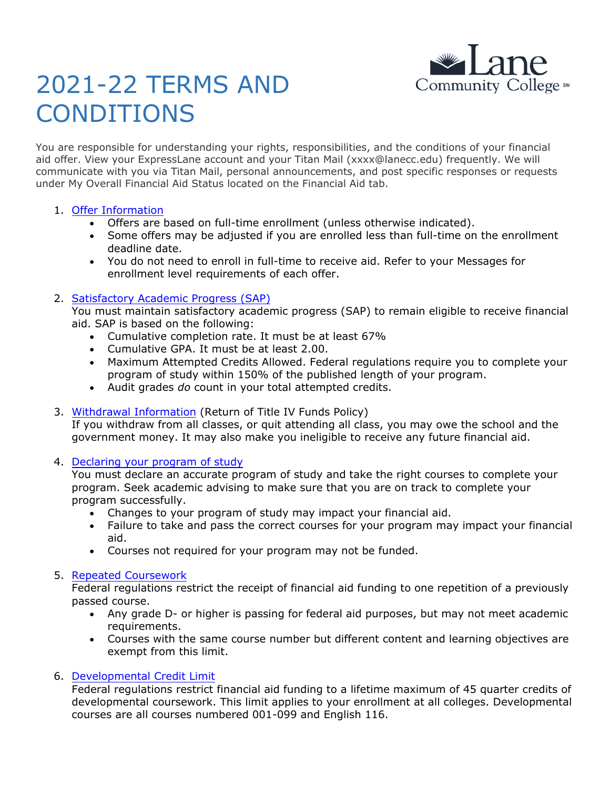

# 2021-22 TERMS AND CONDITIONS

You are responsible for understanding your rights, responsibilities, and the conditions of your financial aid offer. View your ExpressLane account and your Titan Mail (xxxx@lanecc.edu) frequently. We will communicate with you via Titan Mail, personal announcements, and post specific responses or requests under My Overall Financial Aid Status located on the Financial Aid tab.

## 1. Offer [Information](https://www.lanecc.edu/financialaid/step-2-watch-your-email)

- Offers are based on full-time enrollment (unless otherwise indicated).
- Some offers may be adjusted if you are enrolled less than full-time on the enrollment deadline date.
- You do not need to enroll in full-time to receive aid. Refer to your Messages for enrollment level requirements of each offer.

## 2. [Satisfactory Academic Progress \(SAP\)](http://www.lanecc.edu/finaid/satisfactory-academic-progress)

You must maintain satisfactory academic progress (SAP) to remain eligible to receive financial aid. SAP is based on the following:

- Cumulative completion rate. It must be at least 67%
- Cumulative GPA. It must be at least 2.00.
- Maximum Attempted Credits Allowed. Federal regulations require you to complete your program of study within 150% of the published length of your program.
- Audit grades *do* count in your total attempted credits.
- 3. [Withdrawal Information](https://www.lanecc.edu/financialaid/step-4-maintain-your-eligibility) (Return of Title IV Funds Policy)

If you withdraw from all classes, or quit attending all class, you may owe the school and the government money. It may also make you ineligible to receive any future financial aid.

## 4. [Declaring your program of study](http://www.lanecc.edu/advising)

You must declare an accurate program of study and take the right courses to complete your program. Seek academic advising to make sure that you are on track to complete your program successfully.

- Changes to your program of study may impact your financial aid.
- Failure to take and pass the correct courses for your program may impact your financial aid.
- Courses not required for your program may not be funded.

## 5. [Repeated Coursework](https://www.lanecc.edu/financialaid/step-4-maintain-your-eligibility)

Federal regulations restrict the receipt of financial aid funding to one repetition of a previously passed course.

- Any grade D- or higher is passing for federal aid purposes, but may not meet academic requirements.
- Courses with the same course number but different content and learning objectives are exempt from this limit.

## 6. [Developmental Credit Limit](http://www.lanecc.edu/finaid/satisfactory-academic-progress)

Federal regulations restrict financial aid funding to a lifetime maximum of 45 quarter credits of developmental coursework. This limit applies to your enrollment at all colleges. Developmental courses are all courses numbered 001-099 and English 116.